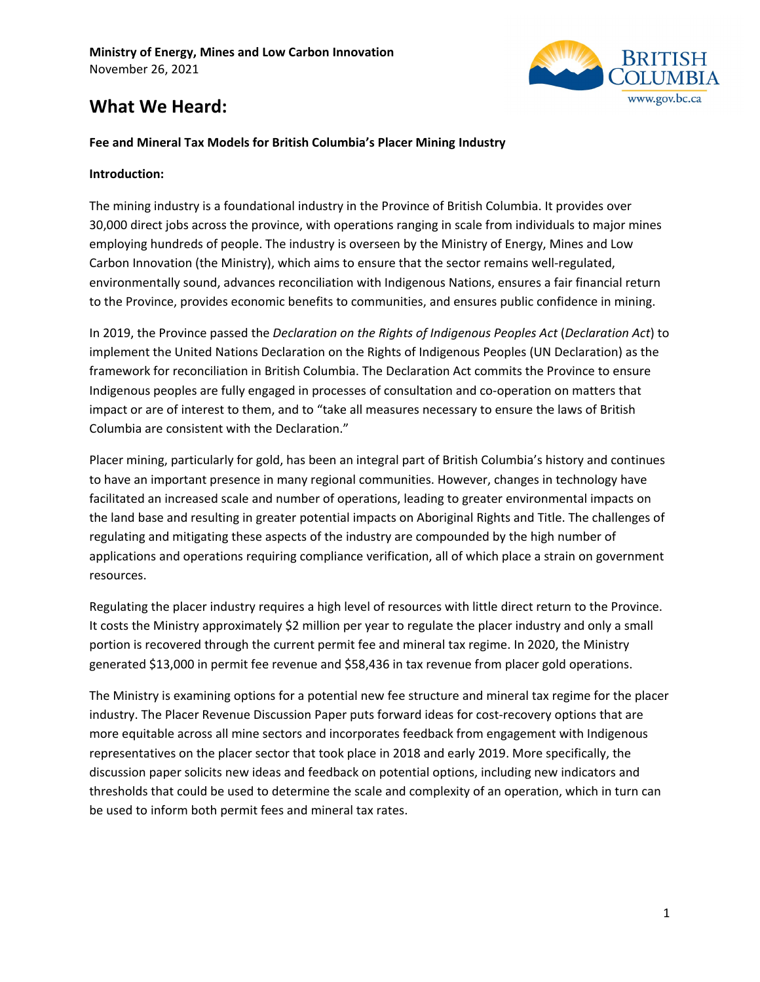

# **What We Heard:**

### **Fee and Mineral Tax Models for British Columbia's Placer Mining Industry**

#### **Introduction:**

The mining industry is a foundational industry in the Province of British Columbia. It provides over 30,000 direct jobs across the province, with operations ranging in scale from individuals to major mines employing hundreds of people. The industry is overseen by the Ministry of Energy, Mines and Low Carbon Innovation (the Ministry), which aims to ensure that the sector remains well-regulated, environmentally sound, advances reconciliation with Indigenous Nations, ensures a fair financial return to the Province, provides economic benefits to communities, and ensures public confidence in mining.

In 2019, the Province passed the *Declaration on the Rights of Indigenous Peoples Act* (*Declaration Act*) to implement the United Nations Declaration on the Rights of Indigenous Peoples (UN Declaration) as the framework for reconciliation in British Columbia. The Declaration Act commits the Province to ensure Indigenous peoples are fully engaged in processes of consultation and co-operation on matters that impact or are of interest to them, and to "take all measures necessary to ensure the laws of British Columbia are consistent with the Declaration."

Placer mining, particularly for gold, has been an integral part of British Columbia's history and continues to have an important presence in many regional communities. However, changes in technology have facilitated an increased scale and number of operations, leading to greater environmental impacts on the land base and resulting in greater potential impacts on Aboriginal Rights and Title. The challenges of regulating and mitigating these aspects of the industry are compounded by the high number of applications and operations requiring compliance verification, all of which place a strain on government resources.

Regulating the placer industry requires a high level of resources with little direct return to the Province. It costs the Ministry approximately \$2 million per year to regulate the placer industry and only a small portion is recovered through the current permit fee and mineral tax regime. In 2020, the Ministry generated \$13,000 in permit fee revenue and \$58,436 in tax revenue from placer gold operations.

The Ministry is examining options for a potential new fee structure and mineral tax regime for the placer industry. The Placer Revenue Discussion Paper puts forward ideas for cost-recovery options that are more equitable across all mine sectors and incorporates feedback from engagement with Indigenous representatives on the placer sector that took place in 2018 and early 2019. More specifically, the discussion paper solicits new ideas and feedback on potential options, including new indicators and thresholds that could be used to determine the scale and complexity of an operation, which in turn can be used to inform both permit fees and mineral tax rates.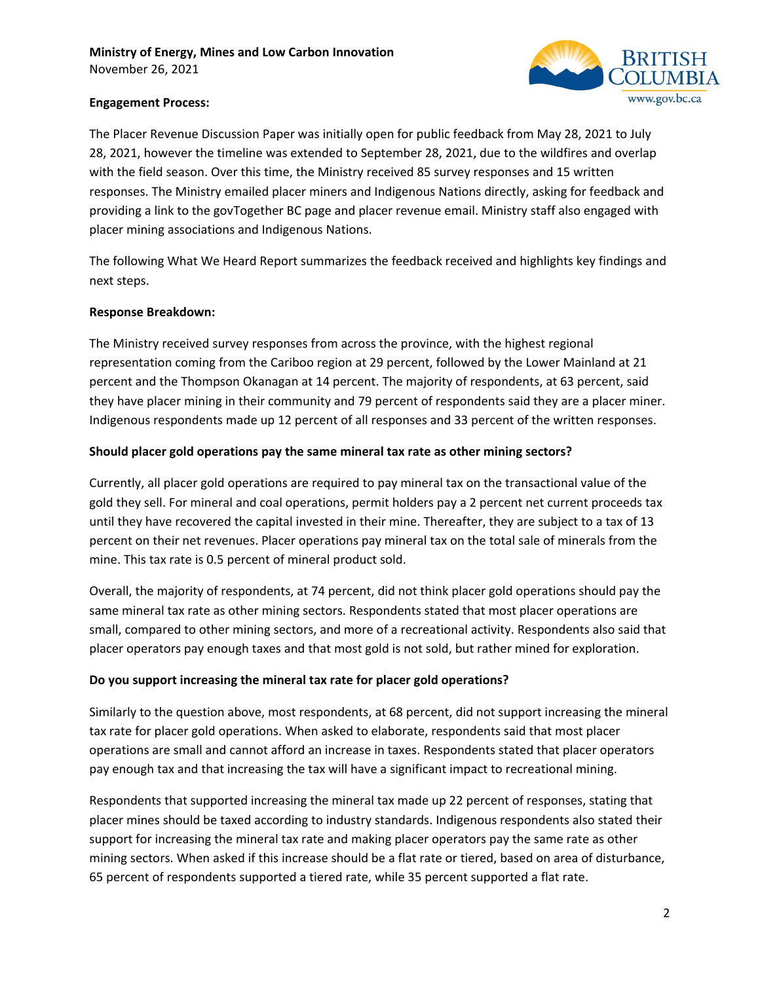

# **Engagement Process:**

The Placer Revenue Discussion Paper was initially open for public feedback from May 28, 2021 to July 28, 2021, however the timeline was extended to September 28, 2021, due to the wildfires and overlap with the field season. Over this time, the Ministry received 85 survey responses and 15 written responses. The Ministry emailed placer miners and Indigenous Nations directly, asking for feedback and providing a link to the govTogether BC page and placer revenue email. Ministry staff also engaged with placer mining associations and Indigenous Nations.

The following What We Heard Report summarizes the feedback received and highlights key findings and next steps.

# **Response Breakdown:**

The Ministry received survey responses from across the province, with the highest regional representation coming from the Cariboo region at 29 percent, followed by the Lower Mainland at 21 percent and the Thompson Okanagan at 14 percent. The majority of respondents, at 63 percent, said they have placer mining in their community and 79 percent of respondents said they are a placer miner. Indigenous respondents made up 12 percent of all responses and 33 percent of the written responses.

# **Should placer gold operations pay the same mineral tax rate as other mining sectors?**

Currently, all placer gold operations are required to pay mineral tax on the transactional value of the gold they sell. For mineral and coal operations, permit holders pay a 2 percent net current proceeds tax until they have recovered the capital invested in their mine. Thereafter, they are subject to a tax of 13 percent on their net revenues. Placer operations pay mineral tax on the total sale of minerals from the mine. This tax rate is 0.5 percent of mineral product sold.

Overall, the majority of respondents, at 74 percent, did not think placer gold operations should pay the same mineral tax rate as other mining sectors. Respondents stated that most placer operations are small, compared to other mining sectors, and more of a recreational activity. Respondents also said that placer operators pay enough taxes and that most gold is not sold, but rather mined for exploration.

#### **Do you support increasing the mineral tax rate for placer gold operations?**

Similarly to the question above, most respondents, at 68 percent, did not support increasing the mineral tax rate for placer gold operations. When asked to elaborate, respondents said that most placer operations are small and cannot afford an increase in taxes. Respondents stated that placer operators pay enough tax and that increasing the tax will have a significant impact to recreational mining.

Respondents that supported increasing the mineral tax made up 22 percent of responses, stating that placer mines should be taxed according to industry standards. Indigenous respondents also stated their support for increasing the mineral tax rate and making placer operators pay the same rate as other mining sectors. When asked if this increase should be a flat rate or tiered, based on area of disturbance, 65 percent of respondents supported a tiered rate, while 35 percent supported a flat rate.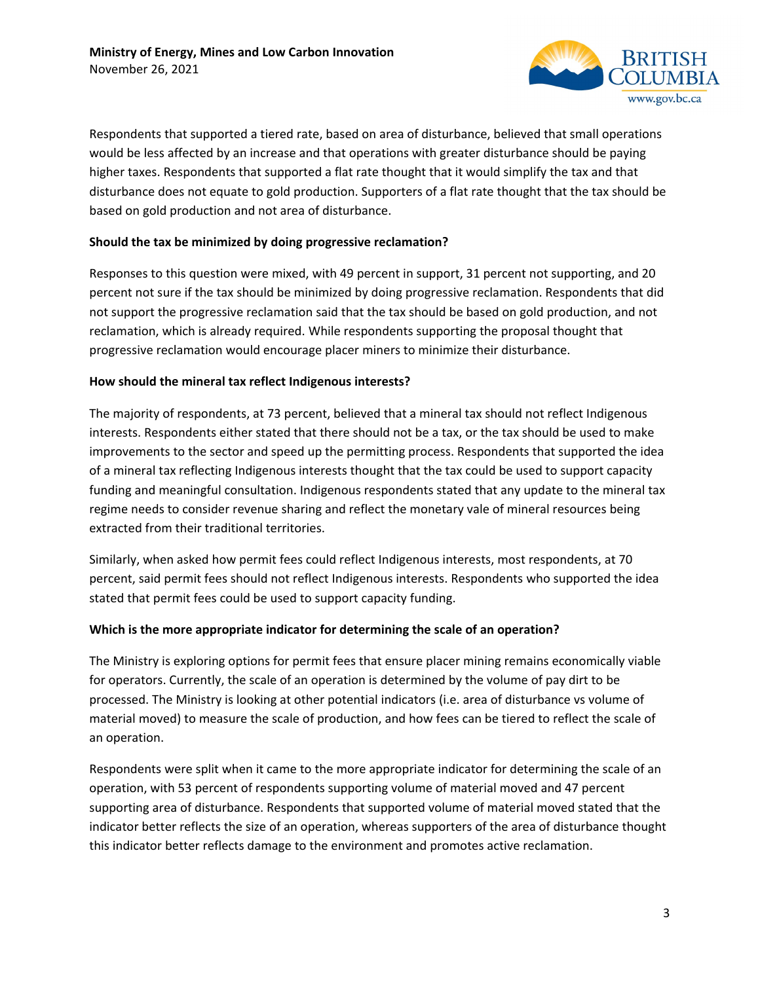

Respondents that supported a tiered rate, based on area of disturbance, believed that small operations would be less affected by an increase and that operations with greater disturbance should be paying higher taxes. Respondents that supported a flat rate thought that it would simplify the tax and that disturbance does not equate to gold production. Supporters of a flat rate thought that the tax should be based on gold production and not area of disturbance.

# **Should the tax be minimized by doing progressive reclamation?**

Responses to this question were mixed, with 49 percent in support, 31 percent not supporting, and 20 percent not sure if the tax should be minimized by doing progressive reclamation. Respondents that did not support the progressive reclamation said that the tax should be based on gold production, and not reclamation, which is already required. While respondents supporting the proposal thought that progressive reclamation would encourage placer miners to minimize their disturbance.

#### **How should the mineral tax reflect Indigenous interests?**

The majority of respondents, at 73 percent, believed that a mineral tax should not reflect Indigenous interests. Respondents either stated that there should not be a tax, or the tax should be used to make improvements to the sector and speed up the permitting process. Respondents that supported the idea of a mineral tax reflecting Indigenous interests thought that the tax could be used to support capacity funding and meaningful consultation. Indigenous respondents stated that any update to the mineral tax regime needs to consider revenue sharing and reflect the monetary vale of mineral resources being extracted from their traditional territories.

Similarly, when asked how permit fees could reflect Indigenous interests, most respondents, at 70 percent, said permit fees should not reflect Indigenous interests. Respondents who supported the idea stated that permit fees could be used to support capacity funding.

#### **Which is the more appropriate indicator for determining the scale of an operation?**

The Ministry is exploring options for permit fees that ensure placer mining remains economically viable for operators. Currently, the scale of an operation is determined by the volume of pay dirt to be processed. The Ministry is looking at other potential indicators (i.e. area of disturbance vs volume of material moved) to measure the scale of production, and how fees can be tiered to reflect the scale of an operation.

Respondents were split when it came to the more appropriate indicator for determining the scale of an operation, with 53 percent of respondents supporting volume of material moved and 47 percent supporting area of disturbance. Respondents that supported volume of material moved stated that the indicator better reflects the size of an operation, whereas supporters of the area of disturbance thought this indicator better reflects damage to the environment and promotes active reclamation.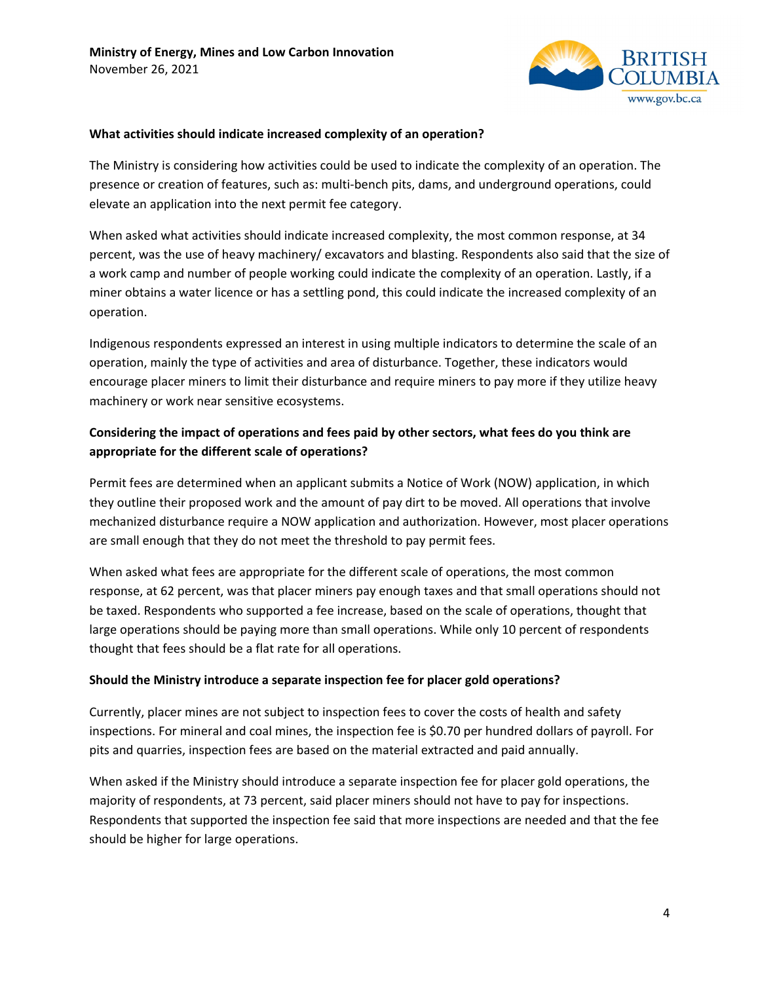

#### **What activities should indicate increased complexity of an operation?**

The Ministry is considering how activities could be used to indicate the complexity of an operation. The presence or creation of features, such as: multi-bench pits, dams, and underground operations, could elevate an application into the next permit fee category.

When asked what activities should indicate increased complexity, the most common response, at 34 percent, was the use of heavy machinery/ excavators and blasting. Respondents also said that the size of a work camp and number of people working could indicate the complexity of an operation. Lastly, if a miner obtains a water licence or has a settling pond, this could indicate the increased complexity of an operation.

Indigenous respondents expressed an interest in using multiple indicators to determine the scale of an operation, mainly the type of activities and area of disturbance. Together, these indicators would encourage placer miners to limit their disturbance and require miners to pay more if they utilize heavy machinery or work near sensitive ecosystems.

# **Considering the impact of operations and fees paid by other sectors, what fees do you think are appropriate for the different scale of operations?**

Permit fees are determined when an applicant submits a Notice of Work (NOW) application, in which they outline their proposed work and the amount of pay dirt to be moved. All operations that involve mechanized disturbance require a NOW application and authorization. However, most placer operations are small enough that they do not meet the threshold to pay permit fees.

When asked what fees are appropriate for the different scale of operations, the most common response, at 62 percent, was that placer miners pay enough taxes and that small operations should not be taxed. Respondents who supported a fee increase, based on the scale of operations, thought that large operations should be paying more than small operations. While only 10 percent of respondents thought that fees should be a flat rate for all operations.

#### **Should the Ministry introduce a separate inspection fee for placer gold operations?**

Currently, placer mines are not subject to inspection fees to cover the costs of health and safety inspections. For mineral and coal mines, the inspection fee is \$0.70 per hundred dollars of payroll. For pits and quarries, inspection fees are based on the material extracted and paid annually.

When asked if the Ministry should introduce a separate inspection fee for placer gold operations, the majority of respondents, at 73 percent, said placer miners should not have to pay for inspections. Respondents that supported the inspection fee said that more inspections are needed and that the fee should be higher for large operations.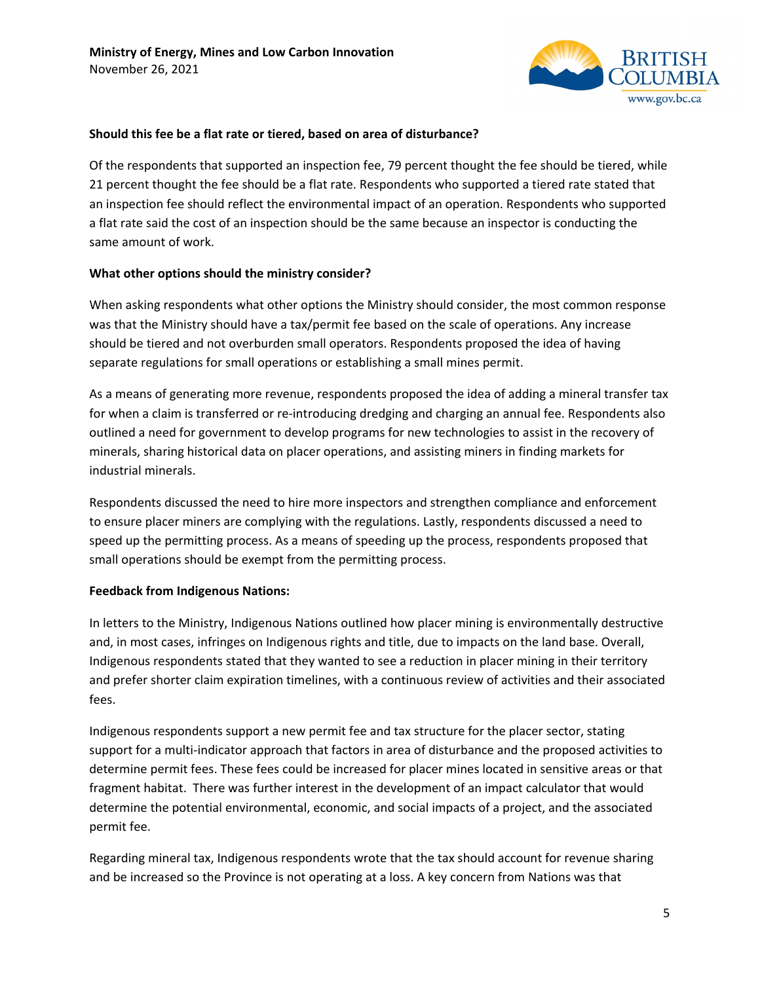

#### **Should this fee be a flat rate or tiered, based on area of disturbance?**

Of the respondents that supported an inspection fee, 79 percent thought the fee should be tiered, while 21 percent thought the fee should be a flat rate. Respondents who supported a tiered rate stated that an inspection fee should reflect the environmental impact of an operation. Respondents who supported a flat rate said the cost of an inspection should be the same because an inspector is conducting the same amount of work.

# **What other options should the ministry consider?**

When asking respondents what other options the Ministry should consider, the most common response was that the Ministry should have a tax/permit fee based on the scale of operations. Any increase should be tiered and not overburden small operators. Respondents proposed the idea of having separate regulations for small operations or establishing a small mines permit.

As a means of generating more revenue, respondents proposed the idea of adding a mineral transfer tax for when a claim is transferred or re-introducing dredging and charging an annual fee. Respondents also outlined a need for government to develop programs for new technologies to assist in the recovery of minerals, sharing historical data on placer operations, and assisting miners in finding markets for industrial minerals.

Respondents discussed the need to hire more inspectors and strengthen compliance and enforcement to ensure placer miners are complying with the regulations. Lastly, respondents discussed a need to speed up the permitting process. As a means of speeding up the process, respondents proposed that small operations should be exempt from the permitting process.

#### **Feedback from Indigenous Nations:**

In letters to the Ministry, Indigenous Nations outlined how placer mining is environmentally destructive and, in most cases, infringes on Indigenous rights and title, due to impacts on the land base. Overall, Indigenous respondents stated that they wanted to see a reduction in placer mining in their territory and prefer shorter claim expiration timelines, with a continuous review of activities and their associated fees.

Indigenous respondents support a new permit fee and tax structure for the placer sector, stating support for a multi-indicator approach that factors in area of disturbance and the proposed activities to determine permit fees. These fees could be increased for placer mines located in sensitive areas or that fragment habitat. There was further interest in the development of an impact calculator that would determine the potential environmental, economic, and social impacts of a project, and the associated permit fee.

Regarding mineral tax, Indigenous respondents wrote that the tax should account for revenue sharing and be increased so the Province is not operating at a loss. A key concern from Nations was that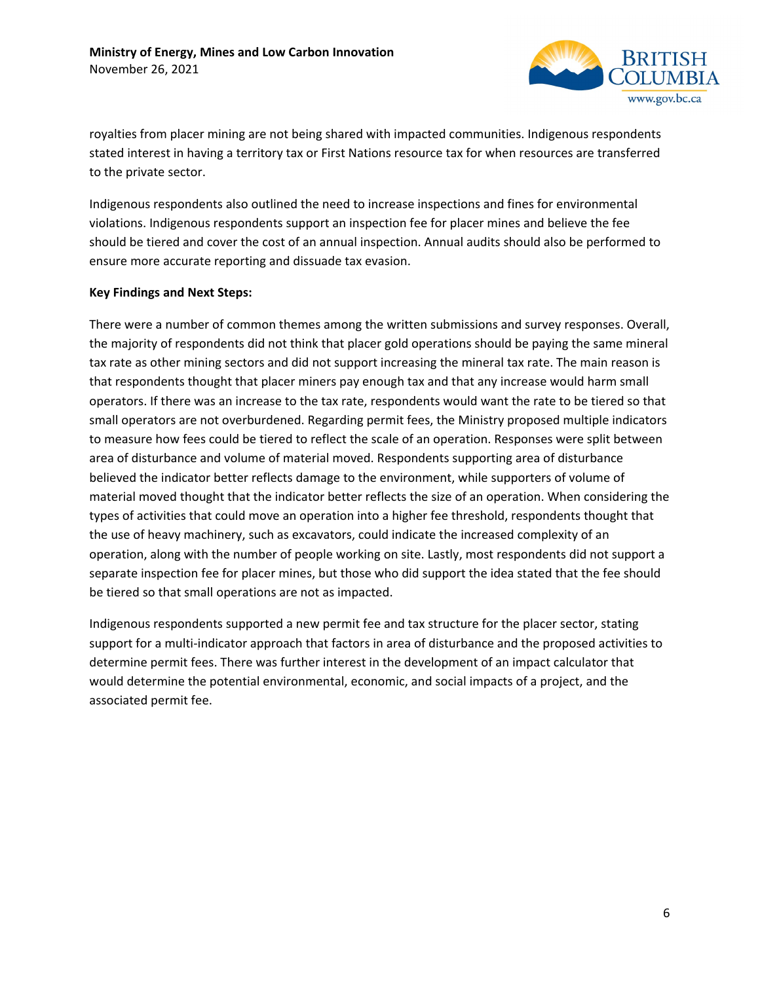

royalties from placer mining are not being shared with impacted communities. Indigenous respondents stated interest in having a territory tax or First Nations resource tax for when resources are transferred to the private sector.

Indigenous respondents also outlined the need to increase inspections and fines for environmental violations. Indigenous respondents support an inspection fee for placer mines and believe the fee should be tiered and cover the cost of an annual inspection. Annual audits should also be performed to ensure more accurate reporting and dissuade tax evasion.

#### **Key Findings and Next Steps:**

There were a number of common themes among the written submissions and survey responses. Overall, the majority of respondents did not think that placer gold operations should be paying the same mineral tax rate as other mining sectors and did not support increasing the mineral tax rate. The main reason is that respondents thought that placer miners pay enough tax and that any increase would harm small operators. If there was an increase to the tax rate, respondents would want the rate to be tiered so that small operators are not overburdened. Regarding permit fees, the Ministry proposed multiple indicators to measure how fees could be tiered to reflect the scale of an operation. Responses were split between area of disturbance and volume of material moved. Respondents supporting area of disturbance believed the indicator better reflects damage to the environment, while supporters of volume of material moved thought that the indicator better reflects the size of an operation. When considering the types of activities that could move an operation into a higher fee threshold, respondents thought that the use of heavy machinery, such as excavators, could indicate the increased complexity of an operation, along with the number of people working on site. Lastly, most respondents did not support a separate inspection fee for placer mines, but those who did support the idea stated that the fee should be tiered so that small operations are not as impacted.

Indigenous respondents supported a new permit fee and tax structure for the placer sector, stating support for a multi-indicator approach that factors in area of disturbance and the proposed activities to determine permit fees. There was further interest in the development of an impact calculator that would determine the potential environmental, economic, and social impacts of a project, and the associated permit fee.